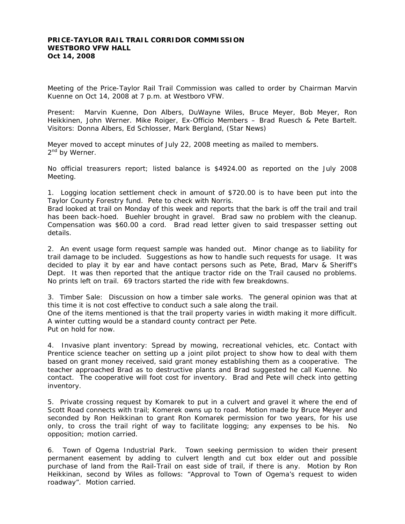## **PRICE-TAYLOR RAIL TRAIL CORRIDOR COMMISSION WESTBORO VFW HALL Oct 14, 2008**

Meeting of the Price-Taylor Rail Trail Commission was called to order by Chairman Marvin Kuenne on Oct 14, 2008 at 7 p.m. at Westboro VFW.

Present: Marvin Kuenne, Don Albers, DuWayne Wiles, Bruce Meyer, Bob Meyer, Ron Heikkinen, John Werner. Mike Roiger, Ex-Officio Members – Brad Ruesch & Pete Bartelt. Visitors: Donna Albers, Ed Schlosser, Mark Bergland, (Star News)

Meyer moved to accept minutes of July 22, 2008 meeting as mailed to members. 2<sup>nd</sup> by Werner.

No official treasurers report; listed balance is \$4924.00 as reported on the July 2008 Meeting.

1. Logging location settlement check in amount of \$720.00 is to have been put into the Taylor County Forestry fund. Pete to check with Norris.

Brad looked at trail on Monday of this week and reports that the bark is off the trail and trail has been back-hoed. Buehler brought in gravel. Brad saw no problem with the cleanup. Compensation was \$60.00 a cord. Brad read letter given to said trespasser setting out details.

2. An event usage form request sample was handed out. Minor change as to liability for trail damage to be included. Suggestions as how to handle such requests for usage. It was decided to play it by ear and have contact persons such as Pete, Brad, Marv & Sheriff's Dept. It was then reported that the antique tractor ride on the Trail caused no problems. No prints left on trail. 69 tractors started the ride with few breakdowns.

3. Timber Sale: Discussion on how a timber sale works. The general opinion was that at this time it is not cost effective to conduct such a sale along the trail.

One of the items mentioned is that the trail property varies in width making it more difficult. A winter cutting would be a standard county contract per Pete. Put on hold for now.

4. Invasive plant inventory: Spread by mowing, recreational vehicles, etc. Contact with Prentice science teacher on setting up a joint pilot project to show how to deal with them based on grant money received, said grant money establishing them as a cooperative. The teacher approached Brad as to destructive plants and Brad suggested he call Kuenne. No contact. The cooperative will foot cost for inventory. Brad and Pete will check into getting inventory.

5. Private crossing request by Komarek to put in a culvert and gravel it where the end of Scott Road connects with trail; Komerek owns up to road. Motion made by Bruce Meyer and seconded by Ron Heikkinan to grant Ron Komarek permission for two years, for his use only, to cross the trail right of way to facilitate logging; any expenses to be his. No opposition; motion carried.

6. Town of Ogema Industrial Park. Town seeking permission to widen their present permanent easement by adding to culvert length and cut box elder out and possible purchase of land from the Rail-Trail on east side of trail, if there is any. Motion by Ron Heikkinan, second by Wiles as follows: "Approval to Town of Ogema's request to widen roadway". Motion carried.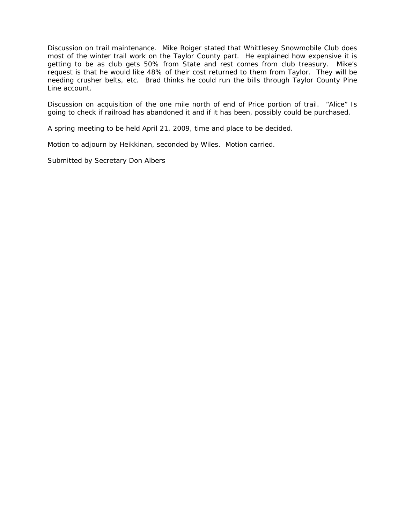Discussion on trail maintenance. Mike Roiger stated that Whittlesey Snowmobile Club does most of the winter trail work on the Taylor County part. He explained how expensive it is getting to be as club gets 50% from State and rest comes from club treasury. Mike's request is that he would like 48% of their cost returned to them from Taylor. They will be needing crusher belts, etc. Brad thinks he could run the bills through Taylor County Pine Line account.

Discussion on acquisition of the one mile north of end of Price portion of trail. "Alice" Is going to check if railroad has abandoned it and if it has been, possibly could be purchased.

A spring meeting to be held April 21, 2009, time and place to be decided.

Motion to adjourn by Heikkinan, seconded by Wiles. Motion carried.

Submitted by Secretary Don Albers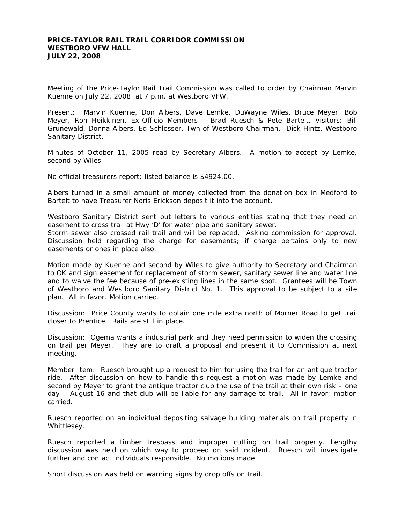## **PRICE-TAYLOR RAIL TRAIL CORRIDOR COMMISSION WESTBORO VFW HALL JULY 22, 2008**

Meeting of the Price-Taylor Rail Trail Commission was called to order by Chairman Marvin Kuenne on July 22, 2008 at 7 p.m. at Westboro VFW.

Present: Marvin Kuenne, Don Albers, Dave Lemke, DuWayne Wiles, Bruce Meyer, Bob Meyer, Ron Heikkinen, Ex-Officio Members – Brad Ruesch & Pete Bartelt. Visitors: Bill Grunewald, Donna Albers, Ed Schlosser, Twn of Westboro Chairman, Dick Hintz, Westboro Sanitary District.

Minutes of October 11, 2005 read by Secretary Albers. A motion to accept by Lemke, second by Wiles.

No official treasurers report; listed balance is \$4924.00.

Albers turned in a small amount of money collected from the donation box in Medford to Bartelt to have Treasurer Noris Erickson deposit it into the account.

Westboro Sanitary District sent out letters to various entities stating that they need an easement to cross trail at Hwy 'D' for water pipe and sanitary sewer.

Storm sewer also crossed rail trail and will be replaced. Asking commission for approval. Discussion held regarding the charge for easements; if charge pertains only to new easements or ones in place also.

Motion made by Kuenne and second by Wiles to give authority to Secretary and Chairman to OK and sign easement for replacement of storm sewer, sanitary sewer line and water line and to waive the fee because of pre-existing lines in the same spot. Grantees will be Town of Westboro and Westboro Sanitary District No. 1. This approval to be subject to a site plan. All in favor. Motion carried.

Discussion: Price County wants to obtain one mile extra north of Morner Road to get trail closer to Prentice. Rails are still in place.

Discussion: Ogema wants a industrial park and they need permission to widen the crossing on trail per Meyer. They are to draft a proposal and present it to Commission at next meeting.

Member Item: Ruesch brought up a request to him for using the trail for an antique tractor ride. After discussion on how to handle this request a motion was made by Lemke and second by Meyer to grant the antique tractor club the use of the trail at their own risk – one day – August 16 and that club will be liable for any damage to trail. All in favor; motion carried.

Ruesch reported on an individual depositing salvage building materials on trail property in Whittlesey.

Ruesch reported a timber trespass and improper cutting on trail property. Lengthy discussion was held on which way to proceed on said incident. Ruesch will investigate further and contact individuals responsible. No motions made.

Short discussion was held on warning signs by drop offs on trail.